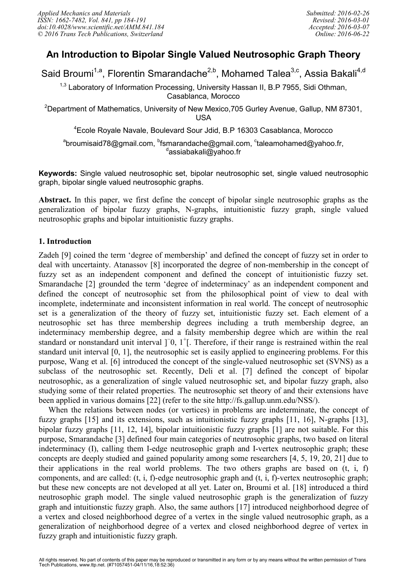# **An Introduction to Bipolar Single Valued Neutrosophic Graph Theory**

Said Broumi<sup>1,a</sup>, Florentin Smarandache<sup>2,b</sup>, Mohamed Talea<sup>3,c</sup>, Assia Bakali<sup>4,d</sup>

 $1,3$  Laboratory of Information Processing, University Hassan II, B.P 7955, Sidi Othman, Casablanca, Morocco

<sup>2</sup>Department of Mathematics, University of New Mexico, 705 Gurley Avenue, Gallup, NM 87301, USA

<sup>4</sup>Ecole Royale Navale, Boulevard Sour Jdid, B.P 16303 Casablanca, Morocco

 $^{\rm a}$ broumisaid78@gmail.com,  $^{\rm b}$ fsmarandache@gmail.com,  $^{\rm c}$ taleamohamed@yahoo.fr,  $^\text{d}$ assiabakali $\widetilde{\text{\textit{\textbf{\textit{Q}}}}}$ yahoo.fr

**Keywords:** Single valued neutrosophic set, bipolar neutrosophic set, single valued neutrosophic graph, bipolar single valued neutrosophic graphs.

**Abstract.** In this paper, we first define the concept of bipolar single neutrosophic graphs as the generalization of bipolar fuzzy graphs, N-graphs, intuitionistic fuzzy graph, single valued neutrosophic graphs and bipolar intuitionistic fuzzy graphs.

# **1. Introduction**

Zadeh [9] coined the term 'degree of membership' and defined the concept of fuzzy set in order to deal with uncertainty. Atanassov [8] incorporated the degree of non-membership in the concept of fuzzy set as an independent component and defined the concept of intuitionistic fuzzy set. Smarandache [2] grounded the term 'degree of indeterminacy' as an independent component and defined the concept of neutrosophic set from the philosophical point of view to deal with incomplete, indeterminate and inconsistent information in real world. The concept of neutrosophic set is a generalization of the theory of fuzzy set, intuitionistic fuzzy set. Each element of a neutrosophic set has three membership degrees including a truth membership degree, an indeterminacy membership degree, and a falsity membership degree which are within the real standard or nonstandard unit interval ]<sup>−</sup>0, 1<sup>+</sup>[. Therefore, if their range is restrained within the real standard unit interval [0, 1], the neutrosophic set is easily applied to engineering problems. For this purpose, Wang et al. [6] introduced the concept of the single-valued neutrosophic set (SVNS) as a subclass of the neutrosophic set. Recently, Deli et al. [7] defined the concept of bipolar neutrosophic, as a generalization of single valued neutrosophic set, and bipolar fuzzy graph, also studying some of their related properties. The neutrosophic set theory of and their extensions have been applied in various domains [22] (refer to the site http://fs.gallup.unm.edu/NSS/).

When the relations between nodes (or vertices) in problems are indeterminate, the concept of fuzzy graphs [15] and its extensions, such as intuitionistic fuzzy graphs [11, 16], N-graphs [13], bipolar fuzzy graphs [11, 12, 14], bipolar intuitionistic fuzzy graphs [1] are not suitable. For this purpose, Smarandache [3] defined four main categories of neutrosophic graphs, two based on literal indeterminacy (I), calling them I-edge neutrosophic graph and I-vertex neutrosophic graph; these concepts are deeply studied and gained popularity among some researchers [4, 5, 19, 20, 21] due to their applications in the real world problems. The two others graphs are based on (t, i, f) components, and are called: (t, i, f)-edge neutrosophic graph and (t, i, f)-vertex neutrosophic graph; but these new concepts are not developed at all yet. Later on, Broumi et al. [18] introduced a third neutrosophic graph model. The single valued neutrosophic graph is the generalization of fuzzy graph and intuitionstic fuzzy graph. Also, the same authors [17] introduced neighborhood degree of a vertex and closed neighborhood degree of a vertex in the single valued neutrosophic graph, as a generalization of neighborhood degree of a vertex and closed neighborhood degree of vertex in fuzzy graph and intuitionistic fuzzy graph.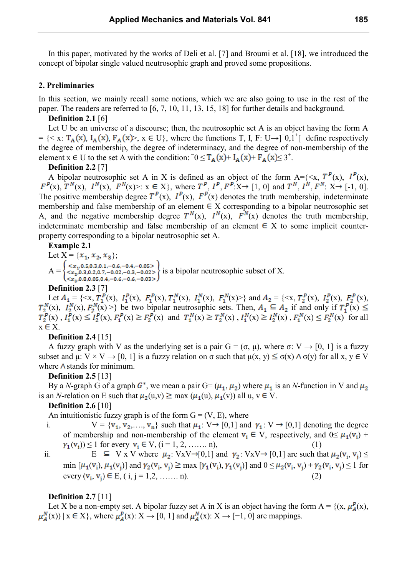In this paper, motivated by the works of Deli et al. [7] and Broumi et al. [18], we introduced the concept of bipolar single valued neutrosophic graph and proved some propositions.

#### **2. Preliminaries**

In this section, we mainly recall some notions, which we are also going to use in the rest of the paper. The readers are referred to [6, 7, 10, 11, 13, 15, 18] for further details and background.

#### **Definition 2.1** [6]

Let U be an universe of a discourse; then, the neutrosophic set A is an object having the form A = {< x:  $T_A(x)$ ,  $I_A(x)$ ,  $F_A(x)$ >,  $x \in U$ }, where the functions T, I, F: U→]<sup>-</sup>0,1<sup>+</sup>[ define respectively the degree of membership, the degree of indeterminacy, and the degree of non-membership of the element  $x \in U$  to the set A with the condition:  $\overline{0} \leq T_A(x) + I_A(x) + F_A(x) \leq 3^+$ .

#### **Definition 2.2** [7]

A bipolar neutrosophic set A in X is defined as an object of the form  $A = \{ \langle x, T^P(x), I^P(x), \rangle\}$  $(x)$ ,  $T^N(x)$ ,  $I^N(x)$ ,  $F^N(x)$ :  $x \in X$ , where  $T^P$ ,  $I^P$ ,  $F^P$ : $X \rightarrow [1, 0]$  and  $T^N$ ,  $I^N$ ,  $F^N$ :  $X \rightarrow [0, 0]$ . The positive membership degree  $T^P(x)$ ,  $I^P(x)$ ,  $F^P(x)$  denotes the truth membership, indeterminate membership and false membership of an element  $\in X$  corresponding to a bipolar neutrosophic set A, and the negative membership degree  $T^N(x)$ ,  $I^N(x)$ ,  $F^N(x)$  denotes the truth membership, indeterminate membership and false membership of an element  $\in X$  to some implicit counterproperty corresponding to a bipolar neutrosophic set A.

#### **Example 2.1**

Let  $X = \{x_1, x_2, x_3\};$  $A = \begin{cases} \langle x_1, 0.5, 0.3, 0.1, -0.6, -0.4, -0.05 \rangle \\ \langle x_2, 0.3, 0.2, 0.7, -0.02, -0.3, -0.02 \rangle \\ \langle x_3, 0.8, 0.05, 0.4, -0.6, -0.6, -0.03 \rangle \end{cases}$  is a bipolar neutrosophic subset of X.

#### **Definition 2.3** [7]

Let  $A_1 = \{ \langle x, T_1^p(x), I_1^p(x), F_1^p(x), T_1^N(x), I_1^N(x), F_1^N(x) \rangle \}$  and  $A_2 = \{ \langle x, T_2^p(x), I_2^p(x), F_2^p(x),$ (x),  $I_2^N(x)$ ,  $F_2^N(x)$  >} be two bipolar neutrosophic sets. Then,  $A_1 \subseteq A_2$  if and only if  $T_1^P(x)$  $(x)$ ,  $I_1^P(x) \leq I_2^P(x)$ ,  $F_1^P(x) \geq F_2^P(x)$  and  $T_1^N(x) \geq T_2^N(x)$ ,  $I_1^N(x) \geq I_2^N(x)$ ,  $F_1^N(x) \leq F_2^N(x)$  for all  $x \in X$ .

#### **Definition 2.4** [15]

A fuzzy graph with V as the underlying set is a pair  $G = (\sigma, \mu)$ , where  $\sigma: V \to [0, 1]$  is a fuzzy subset and  $\mu: V \times V \to [0, 1]$  is a fuzzy relation on  $\sigma$  such that  $\mu(x, y) \leq \sigma(x) \wedge \sigma(y)$  for all x,  $y \in V$ where  $\Lambda$  stands for minimum.

#### **Definition 2.5** [13]

By a *N*-graph G of a graph  $G^*$ , we mean a pair  $G = (\mu_1, \mu_2)$  where  $\mu_1$  is an *N*-function in V and  $\mu_2$ is an *N*-relation on E such that  $\mu_2(u,v) \ge \max (\mu_1(u), \mu_1(v))$  all u,  $v \in V$ .

### **Definition 2.6** [10]

An intuitionistic fuzzy graph is of the form  $G = (V, E)$ , where

i.  $V = {v_1, v_2,..., v_n}$  such that  $\mu_1: V \rightarrow [0,1]$  and  $\gamma_1: V \rightarrow [0,1]$  denoting the degree of membership and non-membership of the element  $v_i \in V$ , respectively, and  $0 \leq \mu_1(v_i)$  +  $\gamma_1(v_i) \le 1$  for every  $v_i \in V$ ,  $(i = 1, 2, \dots, n)$ ,

ii.  $E \subseteq V_X V$  where  $\mu_2: V_X V \rightarrow [0,1]$  and  $\gamma_2: V_X V \rightarrow [0,1]$  are such that  $\mu_2(V_i, V_i) \le$ min  $[\mu_1(\mathbf{v}_i), \mu_1(\mathbf{v}_i)]$  and  $\gamma_2(\mathbf{v}_i, \mathbf{v}_i) \ge \max [\gamma_1(\mathbf{v}_i), \gamma_1(\mathbf{v}_i)]$  and  $0 \le \mu_2(\mathbf{v}_i, \mathbf{v}_i) + \gamma_2(\mathbf{v}_i, \mathbf{v}_i) \le 1$  for every  $(v_i, v_i) \in E$ ,  $(i, j = 1, 2, \dots, n)$ . (2)

#### **Definition 2.7** [11]

Let X be a non-empty set. A bipolar fuzzy set A in X is an object having the form  $A = \{(x, \mu_A^P(x),\}$  $\mu_A^N(x)$  | x  $\in$  X}, where  $\mu_A^P(x): X \to [0, 1]$  and  $\mu_A^N(x): X \to [-1, 0]$  are mappings.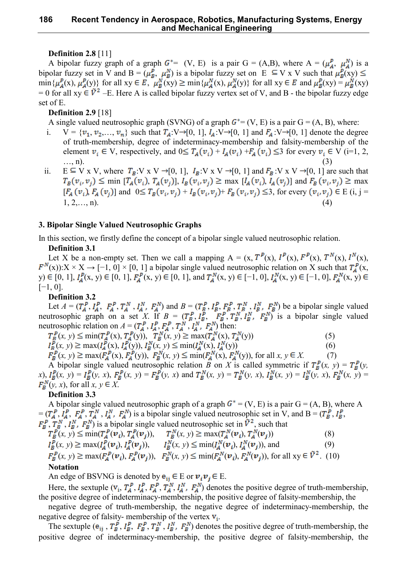# **Definition 2.8** [11]

A bipolar fuzzy graph of a graph  $G^* = (V, E)$  is a pair  $G = (A, B)$ , where  $A = (\mu_A^P, \mu_A^N)$  is a bipolar fuzzy set in V and B =  $(\mu_R^P, \mu_R^N)$  is a bipolar fuzzy set on E  $\subseteq$  V x V such that  $\mu_R^P(xy)$  $\min\{\mu_A^P(x),\mu_A^P(y)\}\$ for all  $xy \in E$ ,  $\mu_B^N(xy) \geq \min\{\mu_A^N(x),\mu_A^N(y)\}\$ for all  $xy \in E$  and  $\mu_B^P(xy) = \mu_B^N(xy)$ = 0 for all xy  $\in \tilde{V}^2$  –E. Here A is called bipolar fuzzy vertex set of V, and B - the bipolar fuzzy edge set of E.

# **Definition 2.9** [18]

A single valued neutrosophic graph (SVNG) of a graph  $G^* = (V, E)$  is a pair  $G = (A, B)$ , where:

- $V = \{v_1, v_2, \ldots, v_n\}$  such that  $T_A: V \rightarrow [0, 1], I_A: V \rightarrow [0, 1]$  and  $F_A: V \rightarrow [0, 1]$  denote the degree of truth-membership, degree of indeterminacy-membership and falsity-membership of the element  $v_i \in V$ , respectively, and  $0 \leq T_A(v_i) + I_A(v_i) + F_A(v_i) \leq 3$  for every  $v_i \in V$  (i=1, 2,  $..., n$ ). (3)
- ii.  $E \subseteq V \times V$ , where  $T_B: V \times V \rightarrow [0, 1]$ ,  $I_B: V \times V \rightarrow [0, 1]$  and  $F_B: V \times V \rightarrow [0, 1]$  are such that  $T_B(v_i, v_j) \leq \min [ T_A(v_i), T_A(v_j)]$ ,  $I_B(v_i, v_j) \geq \max [ I_A(v_i), I_A(v_j)]$  and  $F_B(v_i, v_j) \geq \max$  $[F_A(v_i), F_A(v_j)]$  and  $0 \leq T_B(v_i, v_i) + I_B(v_i, v_j) + F_B(v_i, v_j) \leq 3$ , for every  $(v_i, v_j) \in E$  (i, j =  $1, 2, \ldots, n$ ). (4)

# **3. Bipolar Single Valued Neutrosophic Graphs**

In this section, we firstly define the concept of a bipolar single valued neutrosophic relation.

# **Definition 3.1**

Let X be a non-empty set. Then we call a mapping  $A = (x, T^P(x), I^P(x), F^P(x), T^N(x), I^N(x),$  $(x)$ :  $X \times X \rightarrow [-1, 0] \times [0, 1]$  a bipolar single valued neutrosophic relation on X such that  $T_A^P(x, x)$ y) ∈ [0, 1],  $I_A^P(x, y)$  ∈ [0, 1],  $F_A^P(x, y)$  ∈ [0, 1], and  $T_A^N(x, y)$  ∈ [-1, 0],  $I_A^N(x, y)$  ∈ [-1, 0],  $F_A^N(x, y)$ [−1, 0].

# **Definition 3.2**

Let  $A = (T_A^P, I_A^P, F_A^P, T_A^N, I_A^N, F_A^N)$  and  $B = (T_B^P, I_B^P, F_B^P, T_B^N, I_B^N, F_B^N)$  be a bipolar single valued neutrosophic graph on a set *X*. If  $B = (T_R^P, I_R^P, T_R^P, T_R^N, I_R^N, F_R^N)$  is a bipolar single valued neutrosophic relation on  $A = (T_A^P, I_A^P, F_A^P, T_A^N, I_A^N, F_A^N)$  then:

$$
T_B^P(x, y) \le \min(T_A^P(x), T_A^P(y)), \quad T_B^N(x, y) \ge \max(T_A^N(x), T_A^N(y))
$$
\n(5)

$$
I_B^P(x, y) \ge \max(I_A^P(x), I_A^P(y)), I_B^N(x, y) \le \min(I_A^N(x), I_A^N(y))
$$
\n(6)

 $F_B^P(x, y) \ge \max(F_A^P(x), F_A^P(y)),$   $F_B^N(x, y) \le \min(F_A^N(x), F_A^N(y))$ , for all  $x, y \in X$ . (7)

A bipolar single valued neutrosophic relation *B* on *X* is called symmetric if  $T_B^P(x, y) = T_B^P(y, z)$ *x*),  $I_B^P(x, y) = I_B^P(y, x)$ ,  $F_B^P(x, y) = F_B^P(y, x)$  and  $T_B^N(x, y) = T_B^N(y, x)$ ,  $I_B^N(x, y) = I_B^N(y, x)$ ,  $F_B^N(x, y) = I_B^N(x, y)$  $F_{\mathbf{R}}^{N}(y, x)$ , for all  $x, y \in X$ .

# **Definition 3.3**

A bipolar single valued neutrosophic graph of a graph  $G^* = (V, E)$  is a pair  $G = (A, B)$ , where A  $=(T_A^P, I_A^P, F_A^P, T_A^N, I_A^N, F_A^N)$  is a bipolar single valued neutrosophic set in V, and B =  $(T_B^P, I_B^P, F_A^N)$ ,  $T_B^N$ ,  $I_B^N$ ,  $F_B^N$ ) is a bipolar single valued neutrosophic set in  $\bar{V}^2$ , such that

$$
T_B^P(x, y) \le \min(T_A^P(\boldsymbol{v}_i), T_A^P(\boldsymbol{v}_j)), \quad T_B^N(x, y) \ge \max(T_A^N(\boldsymbol{v}_i), T_A^N(\boldsymbol{v}_j))
$$
(8)

$$
I_B^P(x, y) \ge \max(I_A^P(\boldsymbol{v}_i), I_A^P(\boldsymbol{v}_j)), \qquad I_B^N(x, y) \le \min(I_A^N(\boldsymbol{v}_i), I_A^N(\boldsymbol{v}_j)), \text{ and } (9)
$$

$$
F_B^P(x, y) \ge \max(F_A^P(\boldsymbol{v}_i), F_A^P(\boldsymbol{v}_j)), \quad F_B^N(x, y) \le \min(F_A^N(\boldsymbol{v}_i), F_A^N(\boldsymbol{v}_j)), \text{ for all } xy \in \tilde{V}^2. \tag{10}
$$
  
Notation

An edge of BSVNG is denoted by  $\mathbf{e}_{ii} \in E$  or  $\mathbf{v}_i \mathbf{v}_i \in E$ .

Here, the sextuple  $(v_i, T_A^P, I_A^P, T_A^P, T_A^N, I_A^N, F_A^N)$  denotes the positive degree of truth-membership, the positive degree of indeterminacy-membership, the positive degree of falsity-membership, the

negative degree of truth-membership, the negative degree of indeterminacy-membership, the negative degree of falsity- membership of the vertex  $v_i$ .

The sextuple  $(e_{ij}, T_B^P, I_B^P, T_B^P, T_B^N, I_B^N, F_B^N)$  denotes the positive degree of truth-membership, the positive degree of indeterminacy-membership, the positive degree of falsity-membership, the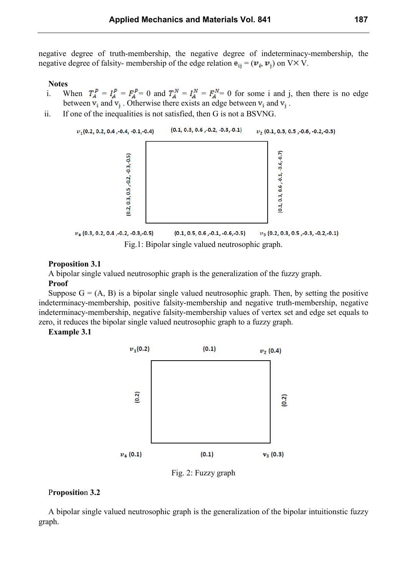negative degree of truth-membership, the negative degree of indeterminacy-membership, the negative degree of falsity- membership of the edge relation  $\mathbf{e}_{ii} = (\mathbf{v}_i, \mathbf{v}_i)$  on VX V.

**Notes**

- i. When  $T_A^P = I_A^P = F_A^P = 0$  and  $T_A^N = I_A^N = F_A^N = 0$  for some i and j, then there is no edge between  $v_i$  and  $v_i$ . Otherwise there exists an edge between  $v_i$  and  $v_i$ .
- ii. If one of the inequalities is not satisfied, then G is not a BSVNG.



#### **Proposition 3.1**

A bipolar single valued neutrosophic graph is the generalization of the fuzzy graph. **Proof**

Suppose  $G = (A, B)$  is a bipolar single valued neutrosophic graph. Then, by setting the positive indeterminacy-membership, positive falsity-membership and negative truth-membership, negative indeterminacy-membership, negative falsity-membership values of vertex set and edge set equals to zero, it reduces the bipolar single valued neutrosophic graph to a fuzzy graph.

**Example 3.1**



Fig. 2: Fuzzy graph

### P**ropositio**n **3.2**

A bipolar single valued neutrosophic graph is the generalization of the bipolar intuitionstic fuzzy graph.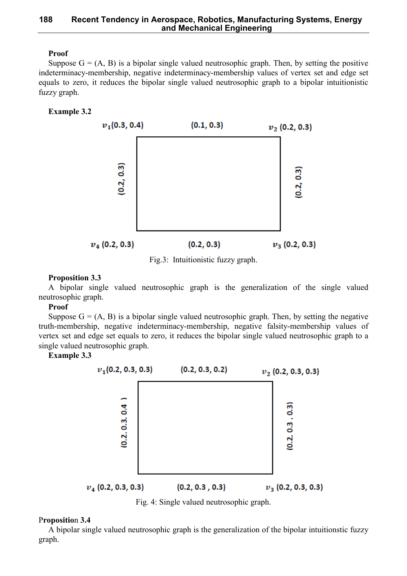# **Proof**

Suppose  $G = (A, B)$  is a bipolar single valued neutrosophic graph. Then, by setting the positive indeterminacy-membership, negative indeterminacy-membership values of vertex set and edge set equals to zero, it reduces the bipolar single valued neutrosophic graph to a bipolar intuitionistic fuzzy graph.

### **Example 3.2**



Fig.3: Intuitionistic fuzzy graph.

#### **Proposition 3.3**

A bipolar single valued neutrosophic graph is the generalization of the single valued neutrosophic graph.

#### **Proof**

Suppose  $G = (A, B)$  is a bipolar single valued neutrosophic graph. Then, by setting the negative truth-membership, negative indeterminacy-membership, negative falsity-membership values of vertex set and edge set equals to zero, it reduces the bipolar single valued neutrosophic graph to a single valued neutrosophic graph.

**Example 3.3**



Fig. 4: Single valued neutrosophic graph.

# P**ropositio**n **3.4**

A bipolar single valued neutrosophic graph is the generalization of the bipolar intuitionstic fuzzy graph.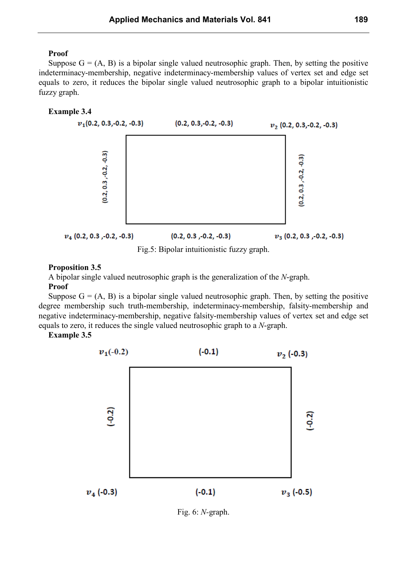### **Proof**

Suppose  $G = (A, B)$  is a bipolar single valued neutrosophic graph. Then, by setting the positive indeterminacy-membership, negative indeterminacy-membership values of vertex set and edge set equals to zero, it reduces the bipolar single valued neutrosophic graph to a bipolar intuitionistic fuzzy graph.

### **Example 3.4**



Fig.5: Bipolar intuitionistic fuzzy graph.

# **Proposition 3.5**

A bipolar single valued neutrosophic graph is the generalization of the *N*-graph.

### **Proof**

Suppose  $G = (A, B)$  is a bipolar single valued neutrosophic graph. Then, by setting the positive degree membership such truth-membership, indeterminacy-membership, falsity-membership and negative indeterminacy-membership, negative falsity-membership values of vertex set and edge set equals to zero, it reduces the single valued neutrosophic graph to a *N*-graph.

**Example 3.5**



Fig. 6: *N-*graph.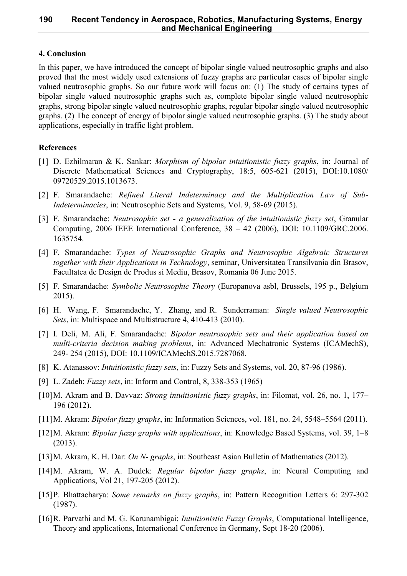### **4. Conclusion**

In this paper, we have introduced the concept of bipolar single valued neutrosophic graphs and also proved that the most widely used extensions of fuzzy graphs are particular cases of bipolar single valued neutrosophic graphs. So our future work will focus on: (1) The study of certains types of bipolar single valued neutrosophic graphs such as, complete bipolar single valued neutrosophic graphs, strong bipolar single valued neutrosophic graphs, regular bipolar single valued neutrosophic graphs. (2) The concept of energy of bipolar single valued neutrosophic graphs. (3) The study about applications, especially in traffic light problem.

# **References**

- [1] D. Ezhilmaran & K. Sankar: *Morphism of bipolar intuitionistic fuzzy graphs*, in: Journal of Discrete Mathematical Sciences and Cryptography, 18:5, 605-621 (2015), DOI:10.1080/ 09720529.2015.1013673.
- [2] F. Smarandache: *Refined Literal Indeterminacy and the Multiplication Law of Sub-Indeterminacies*, in: Neutrosophic Sets and Systems, Vol. 9, 58-69 (2015).
- [3] F. Smarandache: *Neutrosophic set - a generalization of the intuitionistic fuzzy set*, Granular Computing, 2006 IEEE International Conference, 38 – 42 (2006), DOI: 10.1109/GRC.2006. 1635754.
- [4] F. Smarandache: *Types of Neutrosophic Graphs and Neutrosophic Algebraic Structures together with their Applications in Technology*, seminar, Universitatea Transilvania din Brasov, Facultatea de Design de Produs si Mediu, Brasov, Romania 06 June 2015.
- [5] F. Smarandache: *Symbolic Neutrosophic Theory* (Europanova asbl, Brussels, 195 p., Belgium 2015).
- [6] H. Wang, F. Smarandache, Y. Zhang, and R. Sunderraman: *Single valued Neutrosophic Sets*, in: Multispace and Multistructure 4, 410-413 (2010).
- [7] I. Deli, M. Ali, F. Smarandache: *Bipolar neutrosophic sets and their application based on multi-criteria decision making problems*, in: Advanced Mechatronic Systems (ICAMechS), 249- 254 (2015), DOI: 10.1109/ICAMechS.2015.7287068.
- [8] K. Atanassov: *Intuitionistic fuzzy sets*, in: Fuzzy Sets and Systems, vol. 20, 87-96 (1986).
- [9] L. Zadeh: *Fuzzy sets*, in: Inform and Control, 8, 338-353 (1965)
- [10]M. Akram and B. Davvaz: *Strong intuitionistic fuzzy graphs*, in: Filomat, vol. 26, no. 1, 177– 196 (2012).
- [11]M. Akram: *Bipolar fuzzy graphs*, in: Information Sciences, vol. 181, no. 24, 5548–5564 (2011).
- [12]M. Akram: *Bipolar fuzzy graphs with applications*, in: Knowledge Based Systems, vol. 39, 1–8 (2013).
- [13]M. Akram, K. H. Dar: *On N- graphs*, in: Southeast Asian Bulletin of Mathematics (2012).
- [14]M. Akram, W. A. Dudek: *Regular bipolar fuzzy graphs*, in: Neural Computing and Applications, Vol 21, 197-205 (2012).
- [15]P. Bhattacharya: *Some remarks on fuzzy graphs*, in: Pattern Recognition Letters 6: 297-302 (1987).
- [16]R. Parvathi and M. G. Karunambigai: *Intuitionistic Fuzzy Graphs*, Computational Intelligence, Theory and applications, International Conference in Germany, Sept 18-20 (2006).